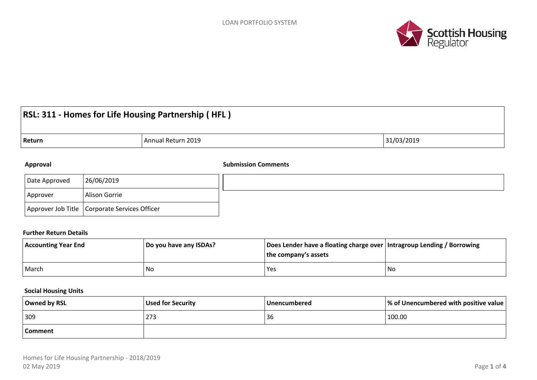

# **RSL: 311 - Homes for Life Housing Partnership ( HFL )**

### **Return Annual Return 2019 Annual Return 2019 31/03/2019**

#### **Approval Submission Comments**

| Date Approved | 26/06/2019                                      |  |
|---------------|-------------------------------------------------|--|
| Approver      | Alison Gorrie                                   |  |
|               | Approver Job Title   Corporate Services Officer |  |

#### **Further Return Details**

| <b>Accounting Year End</b> | Do you have any ISDAs? | Does Lender have a floating charge over   Intragroup Lending / Borrowing<br>the company's assets |    |
|----------------------------|------------------------|--------------------------------------------------------------------------------------------------|----|
| March                      | No                     | Yes                                                                                              | No |

#### **Social Housing Units**

| Owned by RSL | Used for Security | <b>Unencumbered</b> | $\sqrt{}$ % of Unencumbered with positive value $\sqrt{}$ |  |
|--------------|-------------------|---------------------|-----------------------------------------------------------|--|
| 309          | 273               | 36                  | 100.00                                                    |  |
| Comment      |                   |                     |                                                           |  |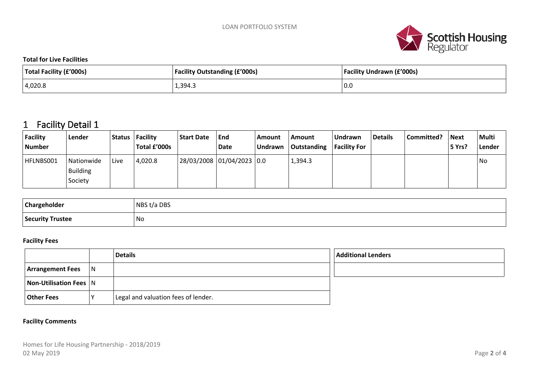

**Total for Live Facilities**

| Total Facility (£'000s) | <b>Facility Outstanding (£'000s)</b> | <b>Facility Undrawn (£'000s)</b> |  |
|-------------------------|--------------------------------------|----------------------------------|--|
| 4,020.8                 | 1,394.3                              | 10.0                             |  |

## **1 Facility Detail 1**

| Facility<br><b>Number</b> | Lender                            | <b>Status</b> | <sup> </sup> Facility<br>Total £'000s | <b>Start Date</b> | End<br>Date               | Amount<br><b>Undrawn</b> | Amount<br>Outstanding | Undrawn<br><b>Facility For</b> | <b>Details</b> | Committed? | <b>Next</b><br>5 Yrs? | <b>Multi</b><br>Lender |
|---------------------------|-----------------------------------|---------------|---------------------------------------|-------------------|---------------------------|--------------------------|-----------------------|--------------------------------|----------------|------------|-----------------------|------------------------|
| HFLNBS001                 | Nationwide<br>Building<br>Society | Live          | 4,020.8                               |                   | 28/03/2008 01/04/2023 0.0 |                          | 1,394.3               |                                |                |            |                       | No                     |

| Chargeholder     | t/a DBS<br><b>NRS</b> |
|------------------|-----------------------|
| Security Trustee | <b>No</b>             |

#### **Facility Fees**

|                         |              | <b>Details</b>                      | <b>Additional Lenders</b> |
|-------------------------|--------------|-------------------------------------|---------------------------|
| <b>Arrangement Fees</b> | $\mathsf{N}$ |                                     |                           |
| Non-Utilisation Fees N  |              |                                     |                           |
| Other Fees              |              | Legal and valuation fees of lender. |                           |

#### **Facility Comments**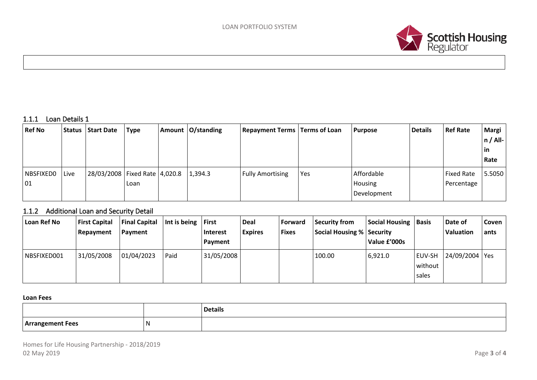

#### **1.1.1 Loan Details 1**

| <b>Ref No</b> |      | Status   Start Date               | Type | Amount $O/standing$ | <b>Repayment Terms   Terms of Loan</b> |     | <b>Purpose</b> | <b>Details</b> | <b>Ref Rate</b>   | <b>Margi</b> |
|---------------|------|-----------------------------------|------|---------------------|----------------------------------------|-----|----------------|----------------|-------------------|--------------|
|               |      |                                   |      |                     |                                        |     |                |                |                   | $n / All-$   |
|               |      |                                   |      |                     |                                        |     |                |                |                   | in           |
|               |      |                                   |      |                     |                                        |     |                |                |                   | Rate         |
| NBSFIXEDO     | Live | 28/03/2008   Fixed Rate   4,020.8 |      | 1,394.3             | <b>Fully Amortising</b>                | Yes | Affordable     |                | <b>Fixed Rate</b> | 5.5050       |
| 01            |      |                                   | Loan |                     |                                        |     | <b>Housing</b> |                | Percentage        |              |
|               |      |                                   |      |                     |                                        |     | Development    |                |                   |              |

#### **1.1.2 Additional Loan and Security Detail**

| Loan Ref No | <b>First Capital</b><br>Repayment | <b>Final Capital</b><br>Payment | Int is being | l First<br>Interest<br>Payment | <b>Deal</b><br><b>Expires</b> | <b>Forward</b><br><b>Fixes</b> | Security from<br>Social Housing % Security | <b>Social Housing</b><br>Value £'000s | <i><b>Basis</b></i>        | Date of<br>Valuation | Coven<br>ants |
|-------------|-----------------------------------|---------------------------------|--------------|--------------------------------|-------------------------------|--------------------------------|--------------------------------------------|---------------------------------------|----------------------------|----------------------|---------------|
| NBSFIXED001 | 31/05/2008                        | 01/04/2023                      | Paid         | 31/05/2008                     |                               |                                | 100.00                                     | 6,921.0                               | EUV-SH<br>without<br>sales | 24/09/2004   Yes     |               |

#### **Loan Fees**

|                  |    | <b>Details</b> |
|------------------|----|----------------|
| Arrangement Fees | ., |                |